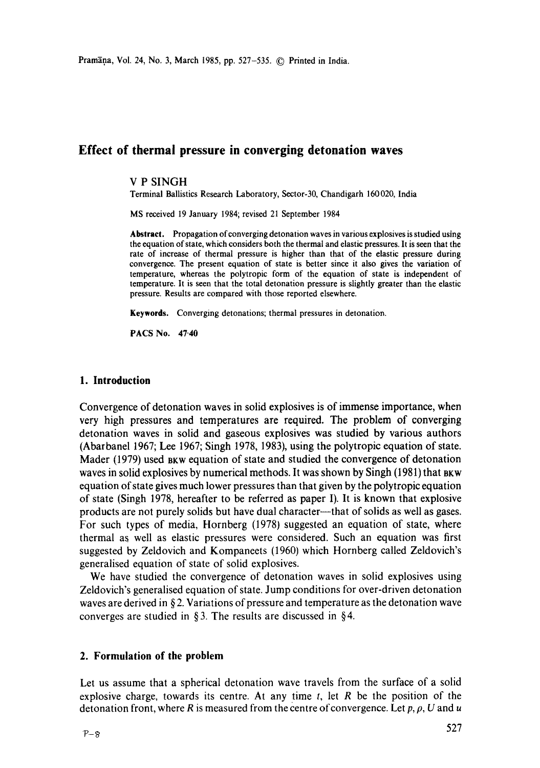# **Effect of thermal pressure in converging detonation waves**

#### V P SINGH

Terminal Ballistics Research Laboratory, Sector-30, Chandigarh 160020, India

MS received 19 January 1984; revised 21 September 1984

**Abstract.** Propagation of converging detonation waves in various explosives is studied **using**  the equation of state, which considers both the thermal and elastic pressures. It is seen that the rate of increase of thermal pressure is higher than that of the elastic pressure during convergence. The present equation of state is better since it also gives the variation of temperature, whereas the polytropic form of the equation of state is independent of temperature. It is seen that the total detonation pressure is slightly greater than the elastic pressure. Results are compared with those reported elsewhere.

**Keywords.** Converging detonations; thermal pressures in detonation.

**PACS No. 47-40** 

#### **1. Introduction**

Convergence of detonation waves in solid explosives is of immense importance, when very high pressures and temperatures are required. The problem of converging detonation waves in solid and gaseous explosives was studied by various authors (Abarbanel 1967; Lee 1967; Singh 1978, 1983), using the polytropic equation of state. Mader (1979) used bkw equation of state and studied the convergence of detonation waves in solid explosives by numerical methods. It was shown by Singh (1981) that BKW equation of state gives much lower pressures than that given by the polytropic equation of state (Singh 1978, hereafter to be referred as paper I). It is known that explosive products are not purely solids but have dual character--that of solids as well as gases. For such types of media, Hornberg (1978) suggested an equation of state, where thermal as well as elastic pressures were considered. Such an equation was first suggested by Zeldovich and Kompaneets (1960) which Hornberg called Zeldovich's generalised equation of state of solid explosives.

We have studied the convergence of detonation waves in solid explosives using Zeldovich's generalised equation of state. Jump conditions for over-driven detonation waves are derived in  $\S 2$ . Variations of pressure and temperature as the detonation wave converges are studied in  $\S 3$ . The results are discussed in  $\S 4$ .

### **2. Formulation of the problem**

Let us assume that a spherical detonation wave travels from the surface of a solid explosive charge, towards its centre. At any time  $t$ , let  $R$  be the position of the detonation front, where R is measured from the centre of convergence. Let  $p, \rho, U$  and u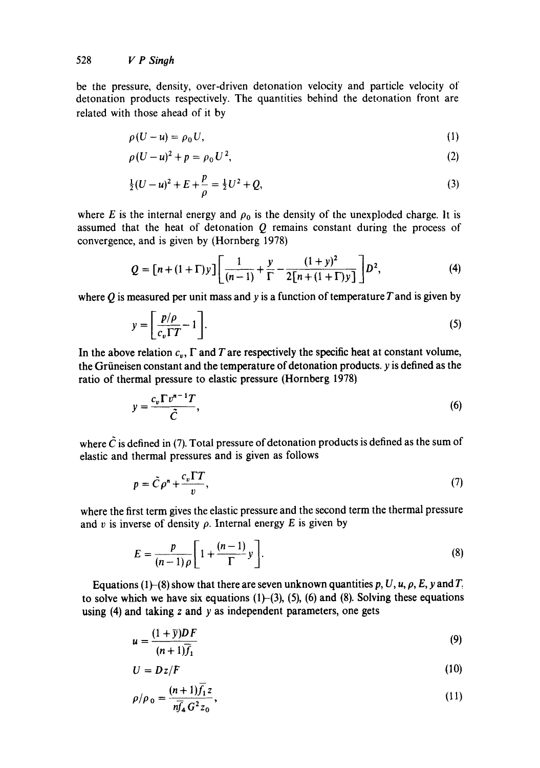be the pressure, density, over-driven detonation velocity and particle velocity of detonation products respectively. The quantities behind the detonation front are related with those ahead of it by

$$
\rho(U-u) = \rho_0 U,\tag{1}
$$

$$
\rho (U - u)^2 + p = \rho_0 U^2, \tag{2}
$$

$$
\frac{1}{2}(U-u)^2 + E + \frac{p}{\rho} = \frac{1}{2}U^2 + Q,\tag{3}
$$

where E is the internal energy and  $\rho_0$  is the density of the unexploded charge. It is assumed that the heat of detonation  $Q$  remains constant during the process of convergence, and is given by (Hornberg 1978)

$$
Q = [n + (1 + \Gamma)y] \left[ \frac{1}{(n-1)} + \frac{y}{\Gamma} - \frac{(1+y)^2}{2[n + (1+\Gamma)y]} \right] D^2,
$$
 (4)

where  $Q$  is measured per unit mass and y is a function of temperature  $T$  and is given by

$$
y = \left[\frac{p/\rho}{c_v \Gamma T} - 1\right].
$$
\n(5)

In the above relation  $c_v$ ,  $\Gamma$  and  $T$  are respectively the specific heat at constant volume, **the Griineisen constant and the temperature of detonation products, y is defined as the**  ratio of thermal pressure to elastic pressure (Hornberg **1978)** 

$$
y = \frac{c_v \Gamma v^{n-1} T}{\tilde{C}},\tag{6}
$$

where  $\tilde{C}$  is defined in (7). Total pressure of detonation products is defined as the sum of elastic and thermal pressures and is given as follows

$$
p = \tilde{C}\rho^n + \frac{c_v \Gamma T}{v},\tag{7}
$$

where the first term gives the elastic pressure and the second term the thermal pressure and v is inverse of density  $\rho$ . Internal energy E is given by

$$
E = \frac{p}{(n-1)\rho} \left[ 1 + \frac{(n-1)}{\Gamma} y \right].
$$
 (8)

Equations (1)–(8) show that there are seven unknown quantities p, U, u,  $\rho$ , E, y and T. to solve which we have six equations  $(1)$ - $(3)$ ,  $(5)$ ,  $(6)$  and  $(8)$ . Solving these equations using (4) and taking z and y as independent parameters, one gets

$$
u = \frac{(1+\bar{y})DF}{(n+1)\bar{f}_1} \tag{9}
$$

$$
U = Dz/F \tag{10}
$$

$$
\rho/\rho_0 = \frac{(n+1)f_1 z}{n\overline{f}_4 G^2 z_0},\tag{11}
$$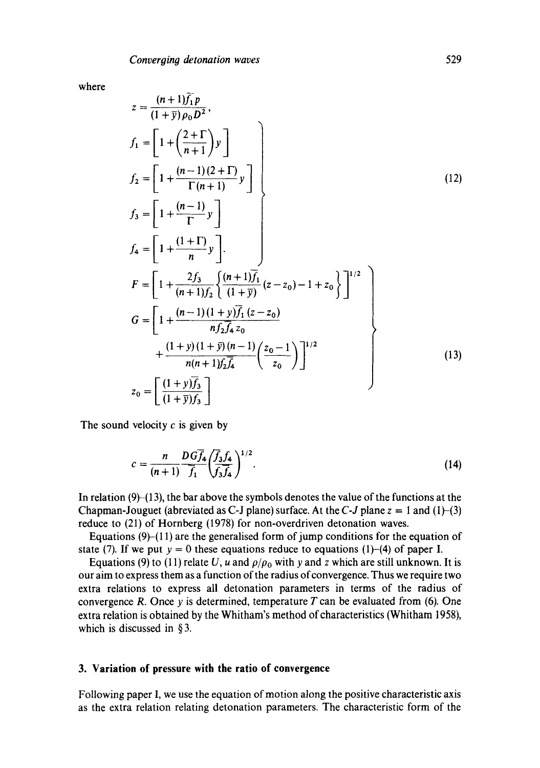$\rightarrow$ 

where

$$
z = \frac{(n+1)f_1 p}{(1+\bar{y})\rho_0 D^2},
$$
\n
$$
f_1 = \left[1 + \left(\frac{2+\Gamma}{n+1}\right)y\right]
$$
\n
$$
f_2 = \left[1 + \frac{(n-1)(2+\Gamma)}{\Gamma(n+1)}y\right]
$$
\n
$$
f_3 = \left[1 + \frac{(n-1)}{\Gamma}y\right]
$$
\n
$$
f_4 = \left[1 + \frac{(1+\Gamma)}{n}y\right].
$$
\n
$$
F = \left[1 + \frac{2f_3}{(n+1)f_2}\left\{\frac{(n+1)\bar{f}_1}{(1+\bar{y})}(z-z_0) - 1 + z_0\right\}\right]^{1/2}
$$
\n
$$
G = \left[1 + \frac{(n-1)(1+y)\bar{f}_1}{nf_2\bar{f}_4 z_0} + \frac{(1+y)(1+\bar{y})(n-1)}{n(n+1)f_2\bar{f}_4}\left(\frac{z_0 - 1}{z_0}\right)\right]^{1/2}
$$
\n
$$
z_0 = \left[\frac{(1+y)\bar{f}_3}{(1+\bar{y})f_3}\right]
$$
\n(13)

The sound velocity  $c$  is given by

$$
c = \frac{n}{(n+1)} \frac{D G \overline{f}_4}{\overline{f}_1} \left(\frac{\overline{f}_3 f_4}{\overline{f}_3 \overline{f}_4}\right)^{1/2}.
$$
 (14)

In relation  $(9)$ - $(13)$ , the bar above the symbols denotes the value of the functions at the Chapman-Jouguet (abreviated as C-J plane) surface. At the C-J plane  $z = 1$  and  $(1)$ - $(3)$ reduce to (21) of Hornberg (1978) for non-overdriven detonation waves.

Equations  $(9)-(11)$  are the generalised form of jump conditions for the equation of state (7). If we put  $y = 0$  these equations reduce to equations (1)-(4) of paper I.

Equations (9) to (11) relate U, u and  $\rho/\rho_0$  with y and z which are still unknown. It is our aim to express them as a function of the radius of convergence. Thus we require two extra relations to express all detonation parameters in terms of the radius of convergence R. Once  $y$  is determined, temperature T can be evaluated from (6). One extra relation is obtained by the Whitham's method of characteristics (Whitham 1958), which is discussed in § 3.

#### **3. Variation of pressure with the ratio of convergence**

Following paper I, we use the equation of motion along the positive characteristic axis as the extra relation relating detonation parameters. The characteristic form of the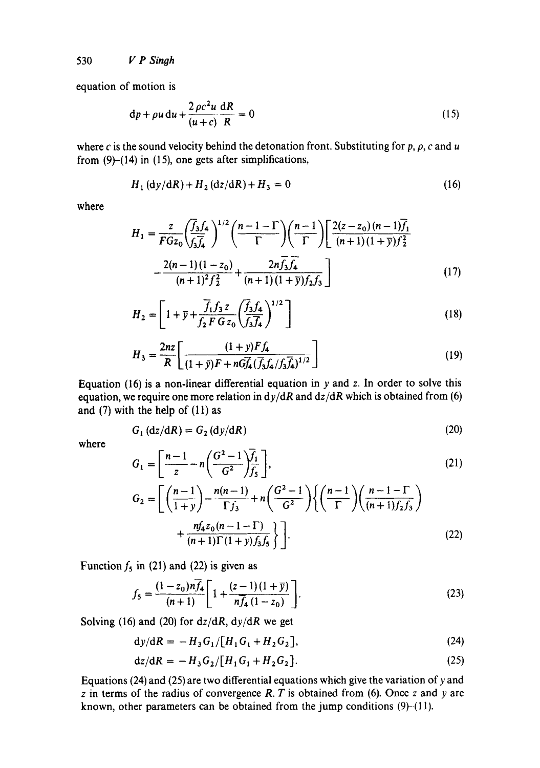530 *V P Singh* 

equation of motion is

$$
dp + \rho u \, du + \frac{2 \rho c^2 u}{(u+c)} \frac{dR}{R} = 0 \tag{15}
$$

where c is the sound velocity behind the detonation front. Substituting for p,  $\rho$ , c and u from  $(9)$ - $(14)$  in  $(15)$ , one gets after simplifications,

$$
H_1 (dy/dR) + H_2 (dz/dR) + H_3 = 0
$$
 (16)

where

$$
H_1 = \frac{z}{FGz_0} \left(\frac{\overline{f}_3 f_4}{f_3 \overline{f}_4}\right)^{1/2} \left(\frac{n-1-\Gamma}{\Gamma}\right) \left(\frac{n-1}{\Gamma}\right) \left[\frac{2(z-z_0)(n-1)\overline{f}_1}{(n+1)(1+\overline{y})f_2^2}\right] - \frac{2(n-1)(1-z_0)}{(n+1)^2 f_2^2} + \frac{2n\overline{f}_3 \overline{f}_4}{(n+1)(1+\overline{y})f_2 f_3}
$$
(17)

$$
H_2 = \left[1 + \bar{y} + \frac{\bar{f}_1 f_3 z}{f_2 F G z_0} \left(\frac{\bar{f}_3 f_4}{f_3 f_4}\right)^{1/2}\right]
$$
(18)

$$
H_3 = \frac{2nz}{R} \left[ \frac{(1+y)Ff_4}{(1+\bar{y})F + nG\bar{f}_4(\bar{f}_3f_4/f_3\bar{f}_4)^{1/2}} \right]
$$
(19)

Equation (16) is a non-linear differential equation in  $y$  and  $z$ . In order to solve this equation, we require one more relation in  $dy/dR$  and  $dz/dR$  which is obtained from (6) and  $(7)$  with the help of  $(11)$  as

$$
G_1(dz/dR) = G_2(dy/dR)
$$
 (20)

where

$$
G_{1} = \left[\frac{n-1}{z} - n\left(\frac{G^{2}-1}{G^{2}}\right)\overline{f_{1}}\right],
$$
\n
$$
G_{2} = \left[\left(\frac{n-1}{1+y}\right) - \frac{n(n-1)}{\Gamma f_{3}} + n\left(\frac{G^{2}-1}{G^{2}}\right)\left\{\left(\frac{n-1}{\Gamma}\right)\left(\frac{n-1-\Gamma}{(n+1)f_{2}f_{3}}\right) + \frac{n f_{4} z_{0}(n-1-\Gamma)}{(n+1)\Gamma(1+y)f_{3}f_{5}}\right\}\right]
$$
\n(22)

Function  $f_5$  in (21) and (22) is given as

$$
f_5 = \frac{(1-z_0)n\overline{f}_4}{(n+1)} \left[ 1 + \frac{(z-1)(1+\overline{y})}{n\overline{f}_4(1-z_0)} \right].
$$
 (23)

Solving (16) and (20) for *dz/dR,* dy/dR we get

 $dy/dR = -H_3G_1/[H_1G_1+H_2G_2],$  (24)

$$
dz/dR = -H_3 G_2/[H_1 G_1 + H_2 G_2].
$$
 (25)

Equations (24) and (25) are two differential equations which give the variation of y and  $z$  in terms of the radius of convergence R. T is obtained from (6). Once  $z$  and  $y$  are known, other parameters can be obtained from the jump conditions  $(9)$ - $(11)$ .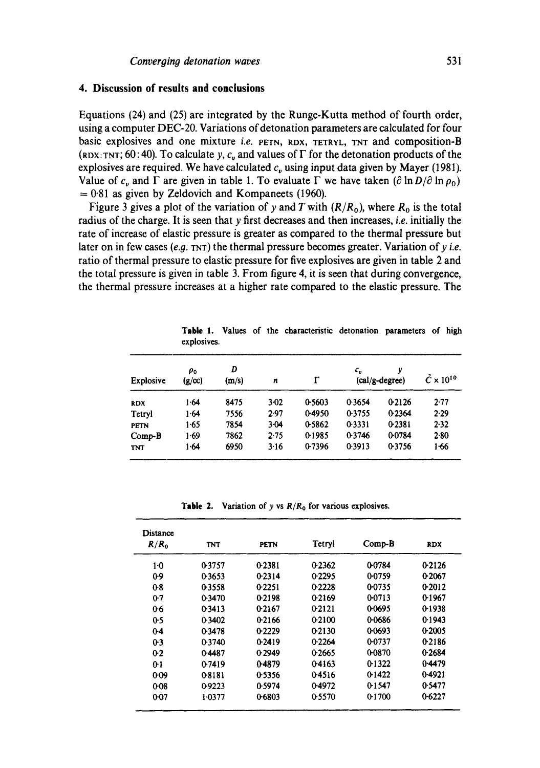#### **4. Discussion of results and conclusions**

Equations (24) and (25) are integrated by the Runge-Kutta method of fourth order, using a computer DEC-20. Variations of detonation parameters are calculated for four basic explosives and one mixture *i.e.* PETN, RDX, TETRYL, TNT and composition-B (RDX: TNT;  $60:40$ ). To calculate y, c<sub>n</sub> and values of  $\Gamma$  for the detonation products of the explosives are required. We have calculated  $c<sub>v</sub>$  using input data given by Mayer (1981). Value of  $c_v$  and  $\Gamma$  are given in table 1. To evaluate  $\Gamma$  we have taken  $(\partial \ln D/\partial \ln \rho_0)$  $= 0.81$  as given by Zeldovich and Kompaneets (1960).

Figure 3 gives a plot of the variation of y and T with  $(R/R_0)$ , where  $R_0$  is the total radius of the charge. It is seen that y first decreases and then increases, *i.e.* initially the rate of increase of elastic pressure is greater as compared to the thermal pressure but later on in few cases (e.g. TNT) the thermal pressure becomes greater. Variation of y *i.e.* ratio of thermal pressure to elastic pressure for five explosives are given in table 2 and the total pressure is given in table 3. From figure 4, it is seen that during convergence, the thermal pressure increases at a higher rate compared to the elastic pressure. The

| <b>Explosive</b> | $\rho_{0}$<br>$(g/\infty)$ | D<br>(m/s) | n        | г      | $c_v$  | γ<br>$(cal/g-degree)$ | $C \times 10^{10}$ |
|------------------|----------------------------|------------|----------|--------|--------|-----------------------|--------------------|
| <b>RDX</b>       | 1.64                       | 8475       | 3.02     | 0.5603 | 0.3654 | 0.2126                | 2.77               |
| Tetryl           | 1.64                       | 7556       | 2.97     | 0.4950 | 0.3755 | 0.2364                | 2.29               |
| <b>PETN</b>      | 1.65                       | 7854       | 3.04     | 0.5862 | 0.3331 | 0.2381                | 2.32               |
| $Comp-B$         | 1.69                       | 7862       | $2 - 75$ | 0-1985 | 0.3746 | 0.0784                | 2.80               |
| <b>TNT</b>       | 1.64                       | 6950       | 3.16     | 0.7396 | 0.3913 | 0.3756                | 1.66               |

**Table** 1. Values of the characteristic detonation parameters of high explosives.

**Table** 2. Variation of y vs *R/Ro* for various explosives.

| Distance<br>$R/R_0$ | <b>TNT</b> | <b>PETN</b> | Tetryl | $Comp-B$ | <b>RDX</b> |
|---------------------|------------|-------------|--------|----------|------------|
| $1-0$               | 0.3757     | 0.2381      | 0.2362 | 0.0784   | 0.2126     |
| $0-9$               | 0.3653     | 0.2314      | 0.2295 | 0.0759   | 0.2067     |
| 0.8                 | 0.3558     | 0.2251      | 0.2228 | 00735    | 0-2012     |
| $0-7$               | 0.3470     | 0.2198      | 0.2169 | 0-0713   | 0.1967     |
| 0.6                 | 0.3413     | 0.2167      | 0.2121 | 0.0695   | 0-1938     |
| 0.5                 | 0.3402     | 0.2166      | 0.2100 | 0-0686   | 0.1943     |
| $0-4$               | 0.3478     | 0.2229      | 0.2130 | 00693    | 0.2005     |
| 0:3                 | 0.3740     | 0.2419      | 0.2264 | 0.0737   | 0.2186     |
| 02                  | 0.4487     | 0.2949      | 0.2665 | 0-0870   | 0.2684     |
| 0.1                 | 0.7419     | 0-4879      | 04163  | 0-1322   | 0.4479     |
| 0.09                | 08181      | 0.5356      | 04516  | 0.1422   | 0-4921     |
| 0.08                | 0.9223     | 0.5974      | 0-4972 | 0-1547   | 0.5477     |
| $0 - 07$            | 1.0377     | 0-6803      | 0.5570 | 0.1700   | 0.6227     |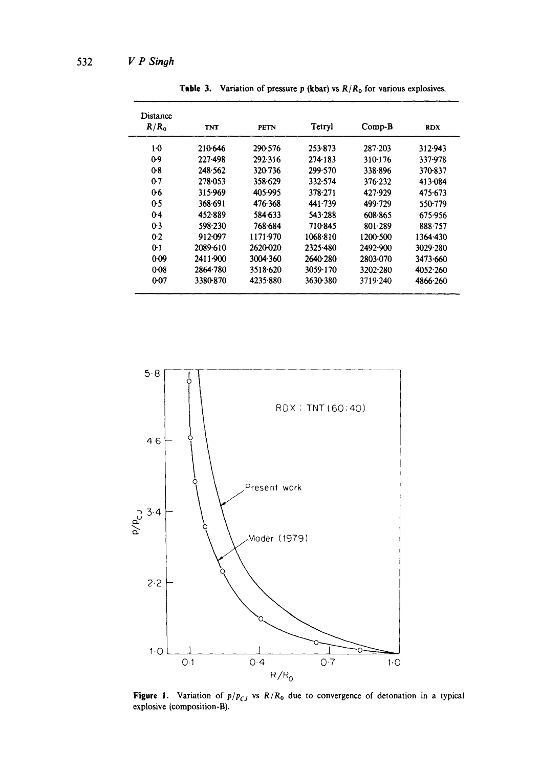| Distance<br>R/R <sub>0</sub> | <b>TNT</b> | <b>PETN</b> | Tetryl   | $Comp-B$    | <b>RDX</b> |
|------------------------------|------------|-------------|----------|-------------|------------|
| $1-0$                        | 210-646    | 290-576     | 253.873  | $287 - 203$ | 312.943    |
| 09                           | 227-498    | 292.316     | 274-183  | 310-176     | 337-978    |
| 08                           | 248.562    | 320 736     | 299.570  | 338.896     | 370-837    |
| $0-7$                        | 278-053    | 358.629     | 332.574  | 376.232     | 413-084    |
| 06                           | 315.969    | 405.995     | 378-271  | 427.929     | 475-673    |
| 0.5                          | 368.691    | 476.368     | 441.739  | 499.729     | 550.779    |
| $0-4$                        | 452.889    | 584.633     | 543.288  | 608-865     | 675.956    |
| $0-3$                        | 598-230    | 768.684     | 710-845  | 801.289     | 888-757    |
| $0-2$                        | 912-097    | 1171-970    | 1068-810 | 1200-500    | 1364.430   |
| $0-1$                        | 2089-610   | 2620-020    | 2325.480 | 2492-900    | 3029.280   |
| 0.09                         | 2411.900   | 3004.360    | 2640.280 | 2803-070    | 3473.660   |
| $0-08$                       | 2864.780   | 3518.620    | 3059-170 | 3202-280    | 4052.260   |
| 0.07                         | 3380-870   | 4235-880    | 3630-380 | 3719.240    | 4866-260   |

**Table 3.** Variation of pressure  $p$  (kbar) vs  $R/R_0$  for various explosives.



**Figure 1.** Variation of  $p/p_{CJ}$  vs  $R/R_0$  due to convergence of detonation in a typical explosive **(composition-B).**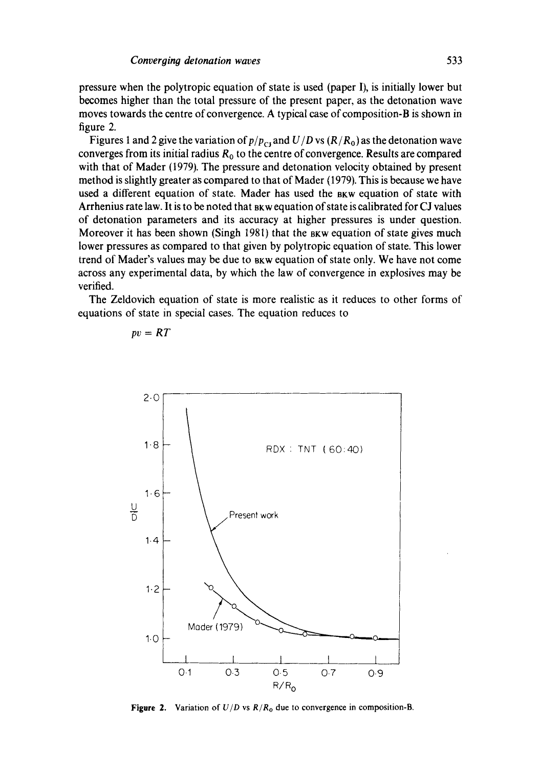pressure when the polytropic equation of state is used (paper I), is initially lower but becomes higher than the total pressure of the present paper, as the detonation wave moves towards the centre of convergence. A typical case of composition-B is shown in figure 2.

Figures 1 and 2 give the variation of  $p/p_{\text{CJ}}$  and  $U/D$  vs  $(R/R_0)$  as the detonation wave converges from its initial radius  $R_0$  to the centre of convergence. Results are compared with that of Mader (1979). The pressure and detonation velocity obtained by present method is slightly greater as compared to that of Mader (1979). This is because we have used a different equation of state. Mader has used the BKW equation of state with Arrhenius rate law. It is to be noted that BKW equation of state is calibrated for CJ values of detonation parameters and its accuracy at higher pressures is under question. Moreover it has been shown (Singh 1981) that the BKW equation of state gives much lower pressures as compared to that given by polytropic equation of state. This lower trend of Mader's values may be due to  $B_{\text{RW}}$  equation of state only. We have not come across any experimental data, by which the law of convergence in explosives may be verified.

The Zeldovich equation of state is more realistic as it reduces to other forms of equations of state in special cases. The equation reduces to



$$
pv = RT
$$

**Figure 2.** Variation of  $U/D$  vs  $R/R_0$  due to convergence in composition-B.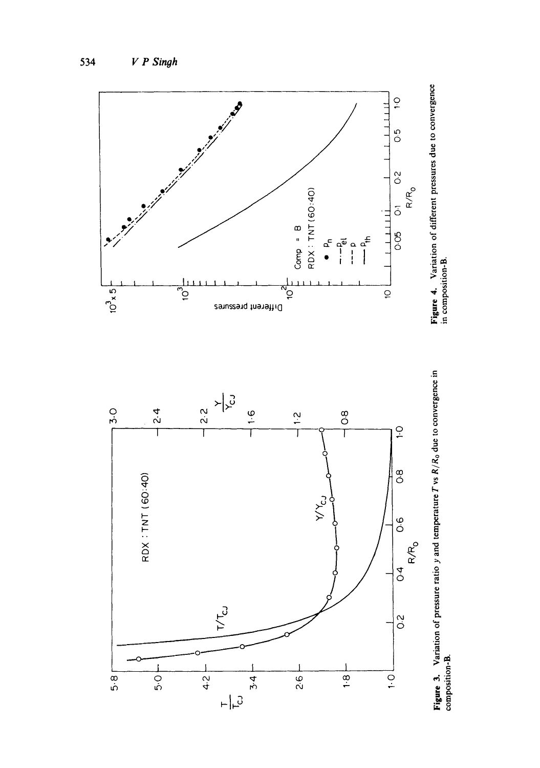

**Figure 3.** Variation of pressure ratio y and temperature  $T$  vs  $R/R_0$  due to convergence in composition-B. **Figure** 3. Variation of pressure ratio y and temperature T vs *R/Ro* due to convergence in composition **-B.** 

in composition-B.